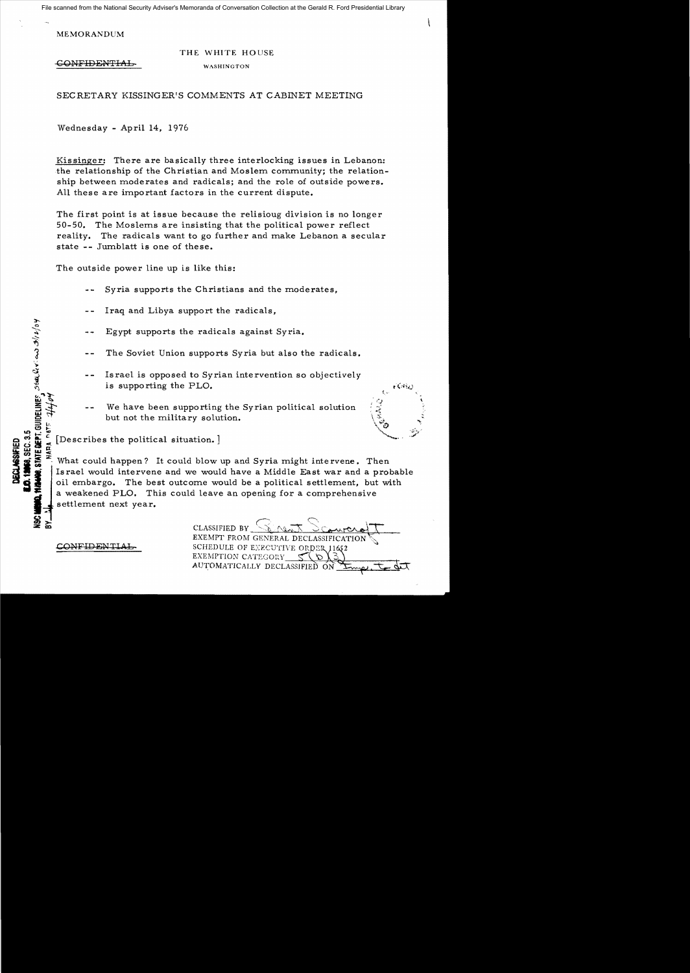File scanned from the National Security Adviser's Memoranda of Conversation Collection at the Gerald R. Ford Presidential Library

**MEMORANDUM** 

## THE WHITE HOUSE

CONFIDENTIAL

**WASHINGTON** 

SECRETARY KISSINGER'S COMMENTS AT CABINET MEETING

Wednesday - April 14. 1976

Kissinger: There are basically three interlocking issues in Lebanon: the relationship of the Christian and Moslem community; the relationship between moderates and radicals; and the role of outside powers. All these are important factors in the current dispute.

The first point is at issue because the relisioug division is no longer 50-50. The Moslems are insisting that the political power reflect reality. The radicals want to go further and make Lebanon a secular state -- Jumblatt is one of these.

The outside power line up is like this:

Syria supports the Christians and the moderates.

- Iraq and Libya support the radicals.
- Egypt supports the radicals against Syria.
- The Soviet Union supports Syria but also the radicals.
- Is rael is opposed to Syrian intervention so objectively is supporting the PLO.
- We have been supporting the Syrian political solution but not the military solution.



**DATE** [Describes the political situation.]

What could happen? It could blow up and Syria might intervene. Then Is rael would intervene and we would have a Middle East war and a probable oil embargo. The best outcome would be a political settlement. but with a weakened PLO. This could leave an opening for a comprehensive settlement next year.

CONFIDENTIAL

STATE DEPT. GUIDELINES. SEALLY CAS 3/12/04

**18, SEC. 3.5** 

§<br>≇ 돐

**JECLASSIFIET** 

**CLASSIFIED BY** EXEMPT FROM GENERAL DECLASSIFICATION SCHEDULE OF EXECUTIVE ORDER 11652 EXEMPTION CATEGORY AUTOMATICALLY DECLASSIFIED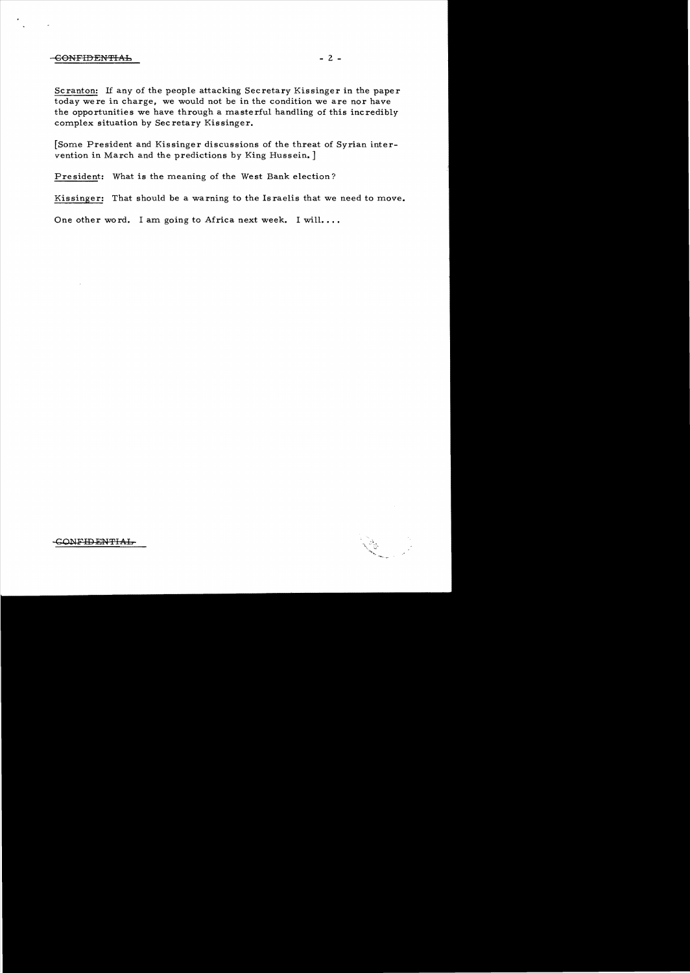## -CONFIDENTIAL 2 -

Scranton: If any of the people attacking Secretary Kissinger in the paper today were in charge, we would not be in the condition we are nor have the opportunities we have through a masterful handling of this incredibly complex situation by Sec retary Kissinger.

[Some President and Kissinger discussions of the threat of Syrian intervention in March and the predictions by King Hussein. ]

President: What is the meaning of the West Bank election?

Kissinger: That should be a warning to the Israelis that we need to move.

One other word. I am going to Africa next week. I will....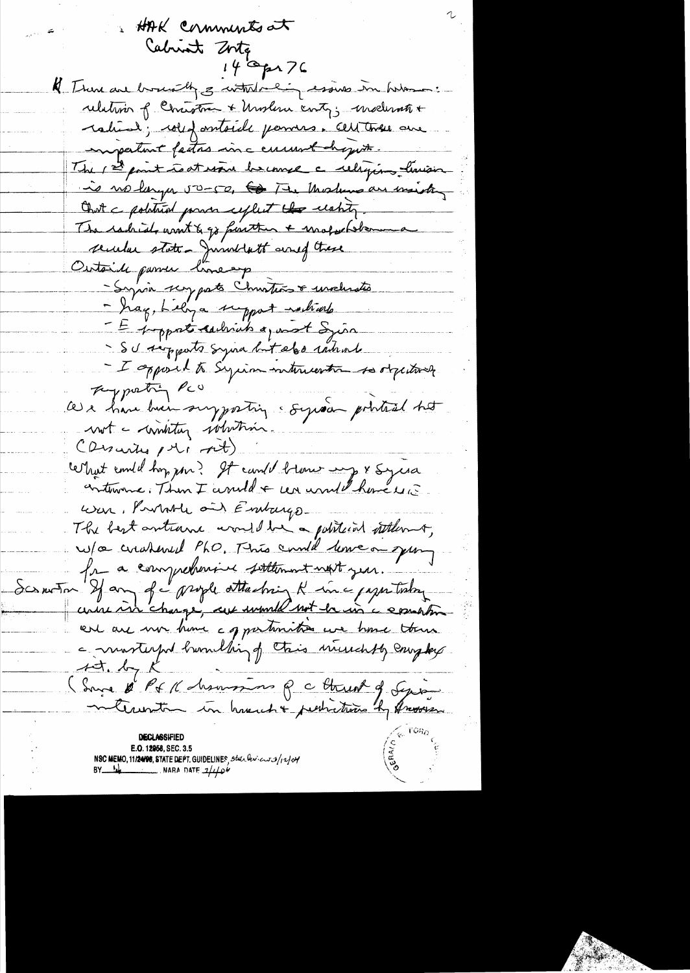HAK comments at Cabrint Zorta 14 Opr 76 K There are brought 3 withtracing essives in hilas. relation of Christian + Unsless control modernote + ration; colefantaile pommes. Cettense are important factors in a current degret. The 1st point to at word become a religion limiter in no larger 50-50, to The Modern are marking Ont a political general explicit the eachty. The carbials want & go further + unoforber secular state. Jumstatt and these Outside passer lineap -Syria scrypato Christias & unclusted - hag, Lelya support ractivale - E poppat cachias quest Sia - SU supports syna but elso introde - I apposed to Syrian intercention to objectively They pretty RCO ces e have buen surporting soyed pointed het not - winting whiting (Discrites pt) At) certant emile hors pour? It can't blow my x syrsa cintervence. Then I and de cer and theme une War, Probable and Embarge The best antione would be a political stiller of w/a cratered PhO. This could lowe on young fr a comprehensive soltenment next year. Scrawton If any of a prople ottaching & inc paper today course in change, are would not be in a comation er are non home a grantmities we have them a mosterful burnelling of their ministip complex  $45.47.6$ (Surge d'R & K hommans Q c threat of Sepion **DECLASSIFIED** E.O. 12958, SEC. 3.5 NSC MEMO, 11/24/98, STATE DEPT. GUIDELINES, state levices of 12/04<br>BY  $\frac{1}{2}$